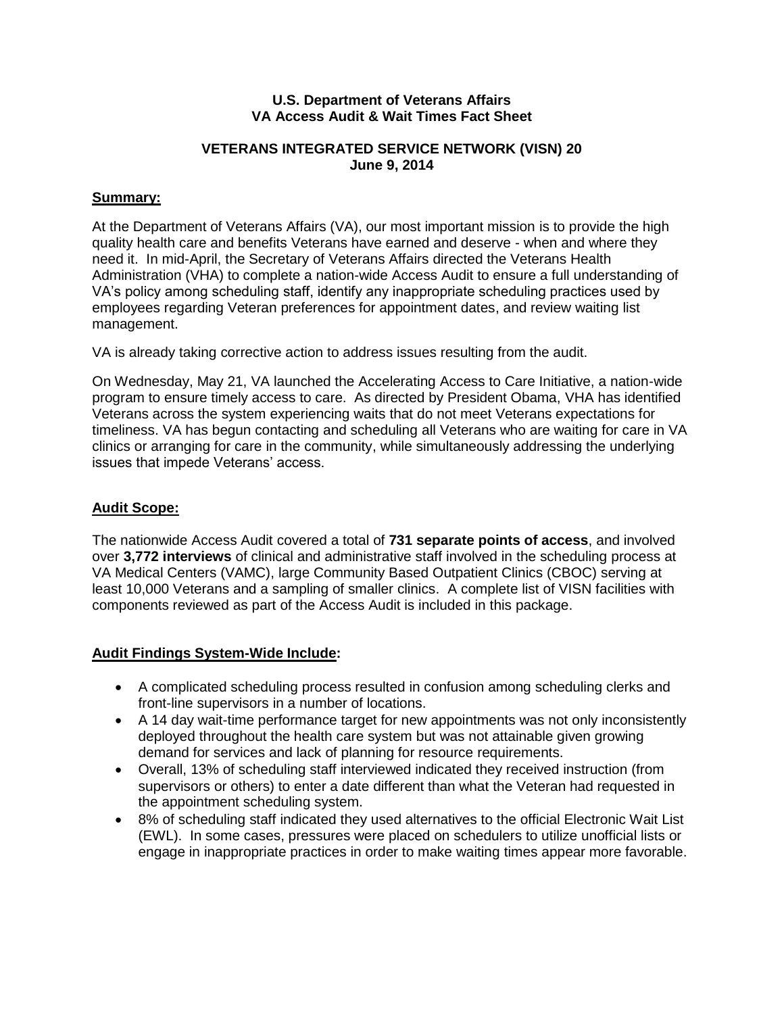#### **U.S. Department of Veterans Affairs VA Access Audit & Wait Times Fact Sheet**

### **VETERANS INTEGRATED SERVICE NETWORK (VISN) 20 June 9, 2014**

## **Summary:**

At the Department of Veterans Affairs (VA), our most important mission is to provide the high quality health care and benefits Veterans have earned and deserve - when and where they need it. In mid-April, the Secretary of Veterans Affairs directed the Veterans Health Administration (VHA) to complete a nation-wide Access Audit to ensure a full understanding of VA's policy among scheduling staff, identify any inappropriate scheduling practices used by employees regarding Veteran preferences for appointment dates, and review waiting list management.

VA is already taking corrective action to address issues resulting from the audit.

On Wednesday, May 21, VA launched the Accelerating Access to Care Initiative, a nation-wide program to ensure timely access to care. As directed by President Obama, VHA has identified Veterans across the system experiencing waits that do not meet Veterans expectations for timeliness. VA has begun contacting and scheduling all Veterans who are waiting for care in VA clinics or arranging for care in the community, while simultaneously addressing the underlying issues that impede Veterans' access.

#### **Audit Scope:**

The nationwide Access Audit covered a total of **731 separate points of access**, and involved over **3,772 interviews** of clinical and administrative staff involved in the scheduling process at VA Medical Centers (VAMC), large Community Based Outpatient Clinics (CBOC) serving at least 10,000 Veterans and a sampling of smaller clinics. A complete list of VISN facilities with components reviewed as part of the Access Audit is included in this package.

## **Audit Findings System-Wide Include:**

- A complicated scheduling process resulted in confusion among scheduling clerks and front-line supervisors in a number of locations.
- A 14 day wait-time performance target for new appointments was not only inconsistently deployed throughout the health care system but was not attainable given growing demand for services and lack of planning for resource requirements.
- Overall, 13% of scheduling staff interviewed indicated they received instruction (from supervisors or others) to enter a date different than what the Veteran had requested in the appointment scheduling system.
- 8% of scheduling staff indicated they used alternatives to the official Electronic Wait List (EWL). In some cases, pressures were placed on schedulers to utilize unofficial lists or engage in inappropriate practices in order to make waiting times appear more favorable.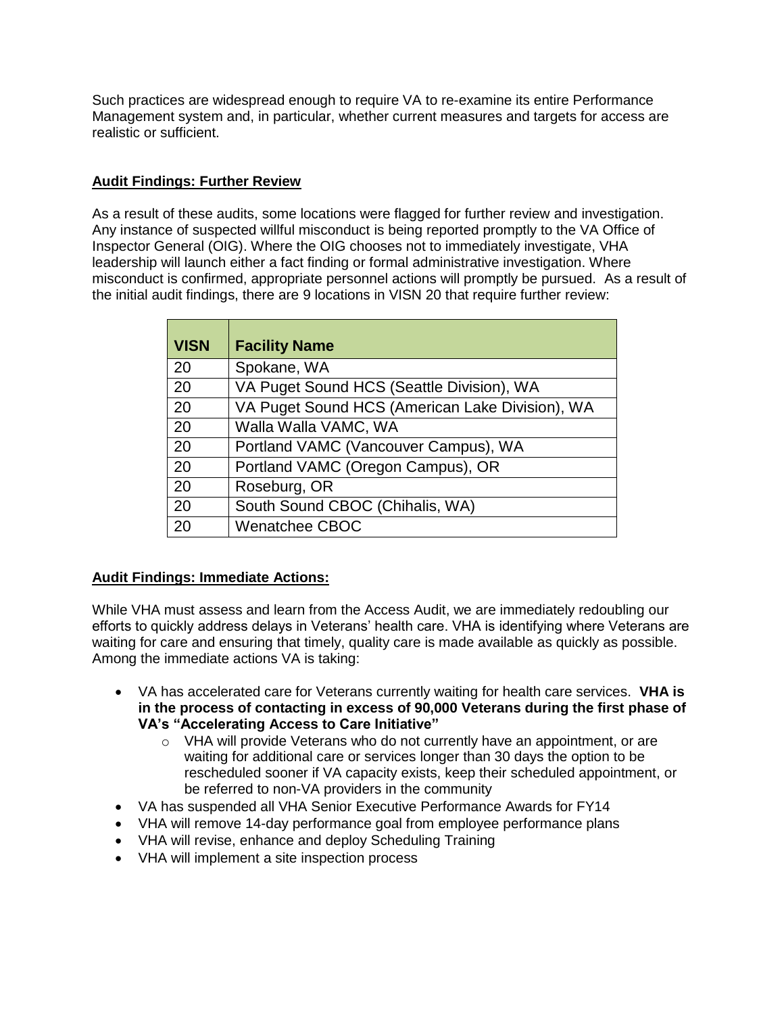Such practices are widespread enough to require VA to re-examine its entire Performance Management system and, in particular, whether current measures and targets for access are realistic or sufficient.

## **Audit Findings: Further Review**

As a result of these audits, some locations were flagged for further review and investigation. Any instance of suspected willful misconduct is being reported promptly to the VA Office of Inspector General (OIG). Where the OIG chooses not to immediately investigate, VHA leadership will launch either a fact finding or formal administrative investigation. Where misconduct is confirmed, appropriate personnel actions will promptly be pursued. As a result of the initial audit findings, there are 9 locations in VISN 20 that require further review:

| <b>VISN</b> | <b>Facility Name</b>                            |
|-------------|-------------------------------------------------|
| 20          | Spokane, WA                                     |
| 20          | VA Puget Sound HCS (Seattle Division), WA       |
| 20          | VA Puget Sound HCS (American Lake Division), WA |
| 20          | Walla Walla VAMC, WA                            |
| 20          | Portland VAMC (Vancouver Campus), WA            |
| 20          | Portland VAMC (Oregon Campus), OR               |
| 20          | Roseburg, OR                                    |
| 20          | South Sound CBOC (Chihalis, WA)                 |
| 20          | <b>Wenatchee CBOC</b>                           |

# **Audit Findings: Immediate Actions:**

While VHA must assess and learn from the Access Audit, we are immediately redoubling our efforts to quickly address delays in Veterans' health care. VHA is identifying where Veterans are waiting for care and ensuring that timely, quality care is made available as quickly as possible. Among the immediate actions VA is taking:

- VA has accelerated care for Veterans currently waiting for health care services. **VHA is in the process of contacting in excess of 90,000 Veterans during the first phase of VA's "Accelerating Access to Care Initiative"**
	- $\circ$  VHA will provide Veterans who do not currently have an appointment, or are waiting for additional care or services longer than 30 days the option to be rescheduled sooner if VA capacity exists, keep their scheduled appointment, or be referred to non-VA providers in the community
- VA has suspended all VHA Senior Executive Performance Awards for FY14
- VHA will remove 14-day performance goal from employee performance plans
- VHA will revise, enhance and deploy Scheduling Training
- VHA will implement a site inspection process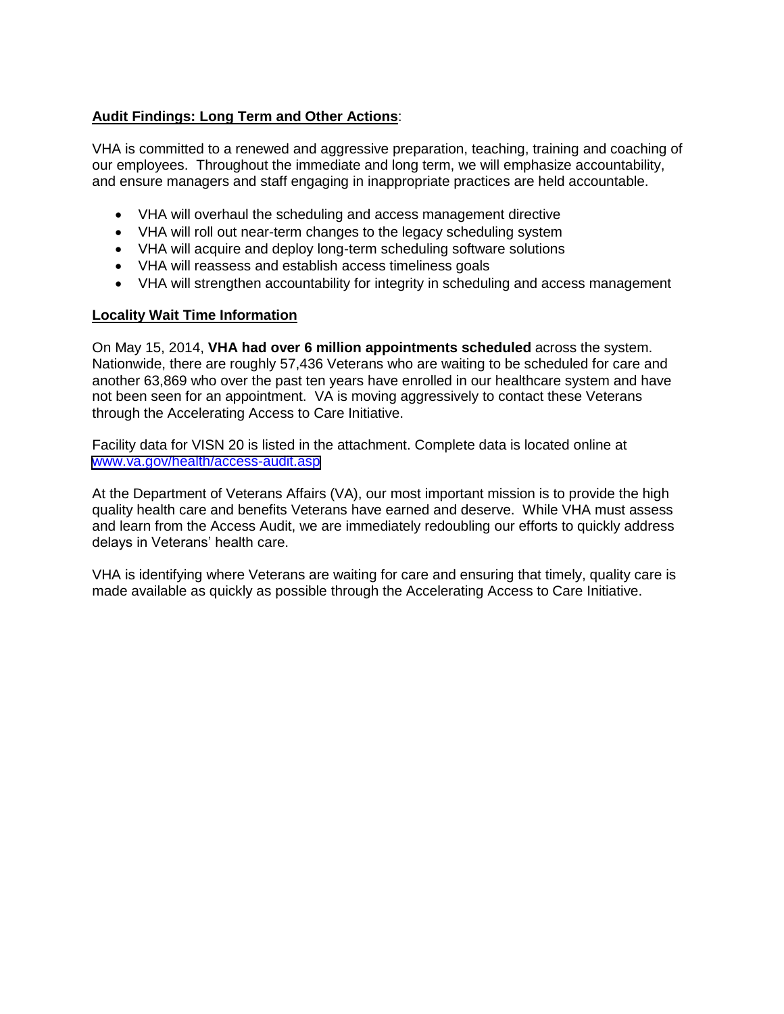## **Audit Findings: Long Term and Other Actions**:

VHA is committed to a renewed and aggressive preparation, teaching, training and coaching of our employees. Throughout the immediate and long term, we will emphasize accountability, and ensure managers and staff engaging in inappropriate practices are held accountable.

- VHA will overhaul the scheduling and access management directive
- VHA will roll out near-term changes to the legacy scheduling system
- VHA will acquire and deploy long-term scheduling software solutions
- VHA will reassess and establish access timeliness goals
- VHA will strengthen accountability for integrity in scheduling and access management

## **Locality Wait Time Information**

On May 15, 2014, **VHA had over 6 million appointments scheduled** across the system. Nationwide, there are roughly 57,436 Veterans who are waiting to be scheduled for care and another 63,869 who over the past ten years have enrolled in our healthcare system and have not been seen for an appointment. VA is moving aggressively to contact these Veterans through the Accelerating Access to Care Initiative.

Facility data for VISN 20 is listed in the attachment. Complete data is located online at [www.va.gov/health/access-audit.asp](https://www.va.gov/health/access-audit.asp)

At the Department of Veterans Affairs (VA), our most important mission is to provide the high quality health care and benefits Veterans have earned and deserve. While VHA must assess and learn from the Access Audit, we are immediately redoubling our efforts to quickly address delays in Veterans' health care.

VHA is identifying where Veterans are waiting for care and ensuring that timely, quality care is made available as quickly as possible through the Accelerating Access to Care Initiative.